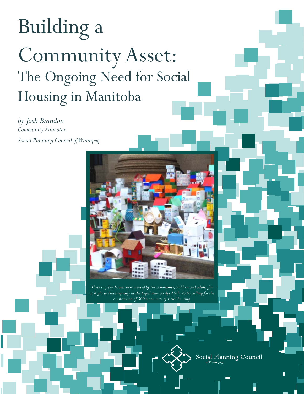# Building a Community Asset: The Ongoing Need for Social Housing in Manitoba

*by Josh Brandon Community Animator, Social Planning Council of Winnipeg* 



*These tiny box houses were created by the community, children and adults, for at Right to Housing rally at the Legislature on April 9th, 2016 calling for the construction of 300 more units of social housing.*



Social Planning Council ofWinnipeg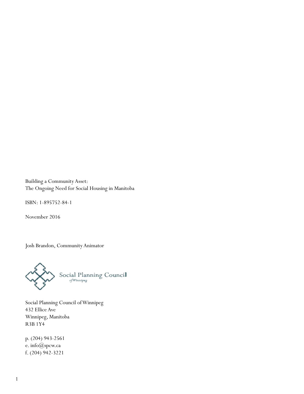Building a Community Asset: The Ongoing Need for Social Housing in Manitoba

ISBN: 1-895752-84-1

November 2016

Josh Brandon, Community Animator



Social Planning Council of Winnipeg 432 Ellice Ave Winnipeg, Manitoba R3B 1Y4

p. (204) 943-2561 e. info@spcw.ca f. (204) 942-3221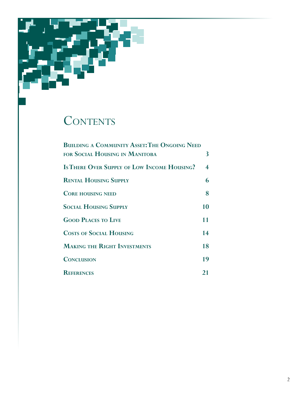

### CONTENTS

| <b>BUILDING A COMMUNITY ASSET: THE ONGOING NEED</b> |    |
|-----------------------------------------------------|----|
| FOR SOCIAL HOUSING IN MANITOBA                      | 3  |
| <b>Is THERE OVER SUPPLY OF LOW INCOME HOUSING?</b>  | 4  |
| <b>RENTAL HOUSING SUPPLY</b>                        | 6  |
| <b>CORE HOUSING NEED</b>                            | 8  |
| <b>SOCIAL HOUSING SUPPLY</b>                        | 10 |
| <b>GOOD PLACES TO LIVE</b>                          | 11 |
| <b>COSTS OF SOCIAL HOUSING</b>                      | 14 |
| <b>MAKING THE RIGHT INVESTMENTS</b>                 | 18 |
| <b>CONCLUSION</b>                                   | 19 |
| <b>REFERENCES</b>                                   | 21 |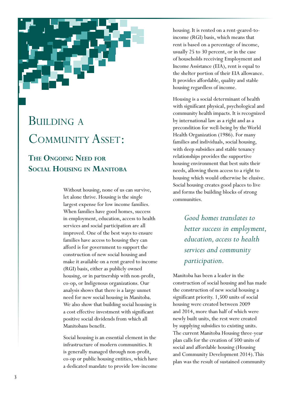<span id="page-3-0"></span>

### **BUILDING A** COMMUNITY ASSET:

#### **The Ongoing Need for Social Housing in Manitoba**

Without housing, none of us can survive, let alone thrive. Housing is the single largest expense for low income families. When families have good homes, success in employment, education, access to health services and social participation are all improved. One of the best ways to ensure families have access to housing they can afford is for government to support the construction of new social housing and make it available on a rent geared to income (RGI) basis, either as publicly owned housing, or in partnership with non-profit, co-op, or Indigenous organizations. Our analysis shows that there is a large unmet need for new social housing in Manitoba. We also show that building social housing is a cost effective investment with significant positive social dividends from which all Manitobans benefit.

Social housing is an essential element in the infrastructure of modern communities. It is generally managed through non-profit, co-op or public housing entities, which have a dedicated mandate to provide low-income

housing. It is rented on a rent-geared-toincome (RGI) basis, which means that rent is based on a percentage of income, usually 25 to 30 percent, or in the case of households receiving Employment and Income Assistance (EIA), rent is equal to the shelter portion of their EIA allowance. It provides affordable, quality and stable housing regardless of income.

Housing is a social determinant of health with significant physical, psychological and community health impacts. It is recognized by international law as a right and as a precondition for well-being by the World Health Organization (1986). For many families and individuals, social housing, with deep subsidies and stable tenancy relationships provides the supportive housing environment that best suits their needs, allowing them access to a right to housing which would otherwise be elusive. Social housing creates good places to live and forms the building blocks of strong communities.

> *Good homes translates to better success in employment, education, access to health services and community participation.*

Manitoba has been a leader in the construction of social housing and has made the construction of new social housing a significant priority. 1,500 units of social housing were created between 2009 and 2014, more than half of which were newly built units, the rest were created by supplying subsidies to existing units. The current Manitoba Housing three-year plan calls for the creation of 500 units of social and affordable housing (Housing and Community Development 2014). This plan was the result of sustained community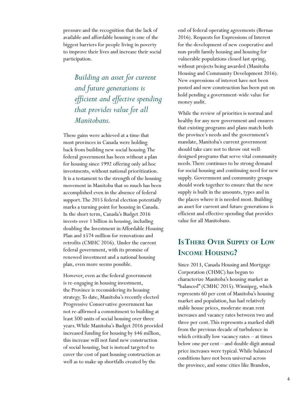<span id="page-4-0"></span>pressure and the recognition that the lack of available and affordable housing is one of the biggest barriers for people living in poverty to improve their lives and increase their social participation.

> *Building an asset for current and future generations is efficient and effective spending that provides value for all Manitobans.*

These gains were achieved at a time that most provinces in Canada were holding back from building new social housing. The federal government has been without a plan for housing since 1992 offering only ad hoc investments, without national prioritization. It is a testament to the strength of the housing movement in Manitoba that so much has been accomplished even in the absence of federal support. The 2015 federal election potentially marks a turning point for housing in Canada. In the short term, Canada's Budget 2016 invests over 1 billion in housing, including doubling the Investment in Affordable Housing Plan and \$574 million for renovations and retrofits (CMHC 2016). Under the current federal government, with its promise of renewed investment and a national housing plan, even more seems possible.

However, even as the federal government is re-engaging in housing investment, the Province is reconsidering its housing strategy. To date, Manitoba's recently elected Progressive Conservative government has not re-affirmed a commitment to building at least 500 units of social housing over three years. While Manitoba's Budget 2016 provided increased funding for housing by \$46 million, this increase will not fund new construction of social housing, but is instead targeted to cover the cost of past housing construction as well as to make up shortfalls created by the

end of federal operating agreements (Bernas 2016). Requests for Expressions of Interest for the development of new cooperative and non-profit family housing and housing for vulnerable populations closed last spring, without projects being awarded (Manitoba Housing and Community Development 2016). New expressions of interest have not been posted and new construction has been put on hold pending a government-wide value for money audit.

While the review of priorities is normal and healthy for any new government and ensures that existing programs and plans match both the province's needs and the government's mandate, Manitoba's current government should take care not to throw out welldesigned programs that serve vital community needs. There continues to be strong demand for social housing and continuing need for new supply. Government and community groups should work together to ensure that the new supply is built in the amounts, types and in the places where it is needed most. Building an asset for current and future generations is efficient and effective spending that provides value for all Manitobans.

#### **IsThere Over Supply of Low Income Housing?**

Since 2013, Canada Housing and Mortgage Corporation (CHMC) has begun to characterize Manitoba's housing market as "balanced" (CMHC 2015). Winnipeg, which represents 60 per cent of Manitoba's housing market and population, has had relatively stable house prices, moderate mean rent increases and vacancy rates between two and three per cent. This represents a marked shift from the previous decade of turbulence in which critically low vacancy rates – at times below one per cent – and double digit annual price increases were typical. While balanced conditions have not been universal across the province, and some cities like Brandon,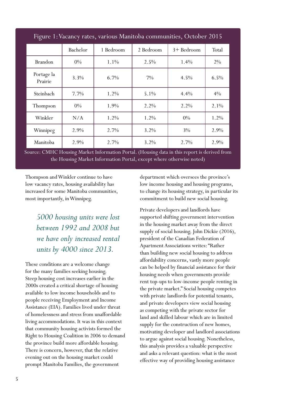| Figure 1: Vacancy rates, various Manitoba communities, October 2015 |          |           |           |            |         |
|---------------------------------------------------------------------|----------|-----------|-----------|------------|---------|
|                                                                     | Bachelor | 1 Bedroom | 2 Bedroom | 3+ Bedroom | Total   |
| <b>Brandon</b>                                                      | $0\%$    | $1.1\%$   | 2.5%      | 1.4%       | $2\%$   |
| Portage la<br>Prairie                                               | 3.3%     | 6.7%      | $7\%$     | 4.5%       | $6.5\%$ |
| Steinbach                                                           | $7.7\%$  | 1.2%      | 5.1%      | 4.4%       | $4\%$   |
| Thompson                                                            | $0\%$    | 1.9%      | 2.2%      | 2.2%       | $2.1\%$ |
| Winkler                                                             | N/A      | 1.2%      | 1.2%      | $0\%$      | 1.2%    |
| Winnipeg                                                            | 2.9%     | $2.7\%$   | $3.2\%$   | $3\%$      | 2.9%    |
| Manitoba                                                            | 2.9%     | $2.7\%$   | $3.2\%$   | 2.7%       | 2.9%    |

Source: CMHC Housing Market Information Portal. (Housing data in this report is derived from the Housing Market Information Portal, except where otherwise noted)

Thompson and Winkler continue to have low vacancy rates, housing availability has increased for some Manitoba communities, most importantly, in Winnipeg.

> *5000 housing units were lost between 1992 and 2008 but we have only increased rental units by 4000 since 2013.*

These conditions are a welcome change for the many families seeking housing. Steep housing cost increases earlier in the 2000s created a critical shortage of housing available to low income households and to people receiving Employment and Income Assistance (EIA). Families lived under threat of homelessness and stress from unaffordable living accommodations. It was in this context that community housing activists formed the Right to Housing Coalition in 2006 to demand the province build more affordable housing. There is concern, however, that the relative evening out on the housing market could prompt Manitoba Families, the government

department which oversees the province's low income housing and housing programs, to change its housing strategy, in particular its commitment to build new social housing.

Private developers and landlords have supported shifting government intervention in the housing market away from the direct supply of social housing. John Dickie (2016), president of the Canadian Federation of Apartment Associations writes: "Rather than building new social housing to address affordability concerns, vastly more people can be helped by financial assistance for their housing needs when governments provide rent top-ups to low-income people renting in the private market." Social housing competes with private landlords for potential tenants, and private developers view social housing as competing with the private sector for land and skilled labour which are in limited supply for the construction of new homes, motivating developer and landlord associations to argue against social housing. Nonetheless, this analysis provides a valuable perspective and asks a relevant question: what is the most effective way of providing housing assistance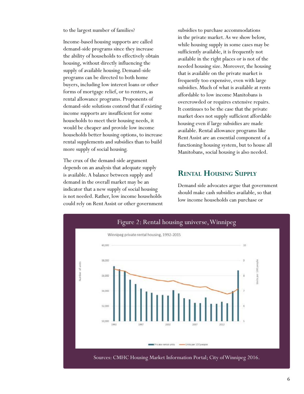<span id="page-6-0"></span>to the largest number of families?

Income-based housing supports are called demand-side programs since they increase the ability of households to effectively obtain housing, without directly influencing the supply of available housing. Demand-side programs can be directed to both home buyers, including low interest loans or other forms of mortgage relief, or to renters, as rental allowance programs. Proponents of demand-side solutions contend that if existing income supports are insufficient for some households to meet their housing needs, it would be cheaper and provide low income households better housing options, to increase rental supplements and subsidies than to build more supply of social housing.

The crux of the demand-side argument depends on an analysis that adequate supply is available. A balance between supply and demand in the overall market may be an indicator that a new supply of social housing is not needed. Rather, low income households could rely on Rent Assist or other government subsidies to purchase accommodations in the private market. As we show below, while housing supply in some cases may be sufficiently available, it is frequently not available in the right places or is not of the needed housing size. Moreover, the housing that is available on the private market is frequently too expensive, even with large subsidies. Much of what is available at rents affordable to low income Manitobans is overcrowded or requires extensive repairs. It continues to be the case that the private market does not supply sufficient affordable housing even if large subsidies are made available. Rental allowance programs like Rent Assist are an essential component of a functioning housing system, but to house all Manitobans, social housing is also needed.

#### **Rental Housing Supply**

Demand side advocates argue that government should make cash subsidies available, so that low income households can purchase or

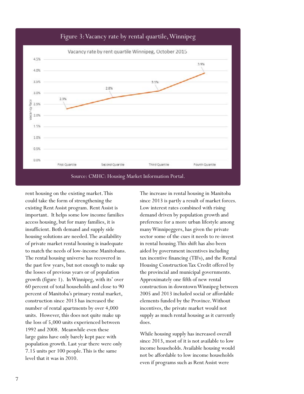

#### Figure 3: Vacancy rate by rental quartile, Winnipeg

rent housing on the existing market. This could take the form of strengthening the existing Rent Assist program. Rent Assist is important. It helps some low income families access housing, but for many families, it is insufficient. Both demand and supply side housing solutions are needed. The availability of private market rental housing is inadequate to match the needs of low-income Manitobans. The rental housing universe has recovered in the past few years, but not enough to make up the losses of previous years or of population growth (figure 1). In Winnipeg, with its' over 60 percent of total households and close to 90 percent of Manitoba's primary rental market, construction since 2013 has increased the number of rental apartments by over 4,000 units. However, this does not quite make up the loss of 5,000 units experienced between 1992 and 2008. Meanwhile even these large gains have only barely kept pace with population growth. Last year there were only 7.15 units per 100 people. This is the same level that it was in 2010.

The increase in rental housing in Manitoba since 2013 is partly a result of market forces. Low interest rates combined with rising demand driven by population growth and preference for a more urban lifestyle among many Winnipeggers, has given the private sector some of the cues it needs to re-invest in rental housing. This shift has also been aided by government incentives including tax incentive financing (TIFs), and the Rental Housing Construction Tax Credit offered by the provincial and municipal governments. Approximately one fifth of new rental construction in downtown Winnipeg between 2005 and 2013 included social or affordable elements funded by the Province. Without incentives, the private market would not supply as much rental housing as it currently does.

While housing supply has increased overall since 2013, most of it is not available to low income households. Available housing would not be affordable to low income households even if programs such as Rent Assist were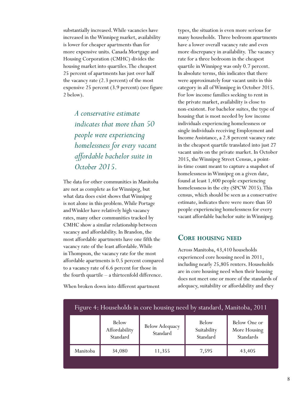<span id="page-8-0"></span>substantially increased. While vacancies have increased in the Winnipeg market, availability is lower for cheaper apartments than for more expensive units. Canada Mortgage and Housing Corporation (CMHC) divides the housing market into quartiles. The cheapest 25 percent of apartments has just over half the vacancy rate (2.3 percent) of the most expensive 25 percent (3.9 percent) (see figure 2 below).

> *A conservative estimate indicates that more than 50 people were experiencing homelessness for every vacant affordable bachelor suite in October 2015.*

The data for other communities in Manitoba are not as complete as for Winnipeg, but what data does exist shows that Winnipeg is not alone in this problem. While Portage and Winkler have relatively high vacancy rates, many other communities tracked by CMHC show a similar relationship between vacancy and affordability. In Brandon, the most affordable apartments have one fifth the vacancy rate of the least affordable. While in Thompson, the vacancy rate for the most affordable apartments is 0.5 percent compared to a vacancy rate of 6.6 percent for those in the fourth quartile – a thirteenfold difference.

When broken down into different apartment

types, the situation is even more serious for many households. Three bedroom apartments have a lower overall vacancy rate and even more discrepancy in availability. The vacancy rate for a three bedroom in the cheapest quartile in Winnipeg was only 0.7 percent. In absolute terms, this indicates that there were approximately four vacant units in this category in all of Winnipeg in October 2015. For low income families seeking to rent in the private market, availability is close to non-existent. For bachelor suites, the type of housing that is most needed by low income individuals experiencing homelessness or single individuals receiving Employment and Income Assistance, a 2.8 percent vacancy rate in the cheapest quartile translated into just 27 vacant units on the private market. In October 2015, the Winnipeg Street Census, a pointin-time count meant to capture a snapshot of homelessness in Winnipeg on a given date, found at least 1,400 people experiencing homelessness in the city (SPCW 2015). This census, which should be seen as a conservative estimate, indicates there were more than 50 people experiencing homelessness for every vacant affordable bachelor suite in Winnipeg.

#### **Core housing need**

Across Manitoba, 43,410 households experienced core housing need in 2011, including nearly 25,805 renters. Households are in core housing need when their housing does not meet one or more of the standards of adequacy, suitability or affordability and they

|          |                                    | Treated to From enough the core from $\sum_{i=1}^n$ from $\sum_{i=1}^n$ $\sum_{i=1}^n$ from $\sum_{i=1}^n$ |                                         |                                           |
|----------|------------------------------------|------------------------------------------------------------------------------------------------------------|-----------------------------------------|-------------------------------------------|
|          | Below<br>Affordability<br>Standard | <b>Below Adequacy</b><br>Standard                                                                          | <b>Below</b><br>Suitability<br>Standard | Below One or<br>More Housing<br>Standards |
| Manitoba | 34,080                             | 11,355                                                                                                     | 7,595                                   | 43,405                                    |
|          |                                    |                                                                                                            |                                         |                                           |

#### Figure 4: Households in core housing need by standard, Manitoba, 2011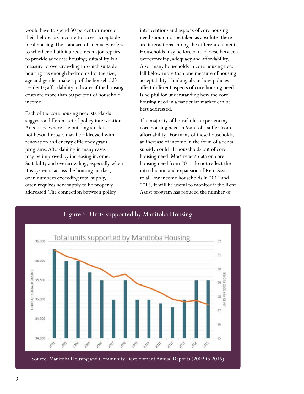would have to spend 30 percent or more of their before-tax income to access acceptable local housing. The standard of adequacy refers to whether a building requires major repairs to provide adequate housing; suitability is a measure of overcrowding in which suitable housing has enough bedrooms for the size, age and gender make-up of the household's residents; affordability indicates if the housing costs are more than 30 percent of household income.

Each of the core housing need standards suggests a different set of policy interventions. Adequacy, where the building stock is not beyond repair, may be addressed with renovation and energy efficiency grant programs. Affordability in many cases may be improved by increasing income. Suitability and overcrowding, especially when it is systemic across the housing market, or in numbers exceeding total supply, often requires new supply to be properly addressed. The connection between policy

interventions and aspects of core housing need should not be taken as absolute: there are interactions among the different elements. Households may be forced to choose between overcrowding, adequacy and affordability. Also, many households in core housing need fall below more than one measure of housing acceptability. Thinking about how policies affect different aspects of core housing need is helpful for understanding how the core housing need in a particular market can be best addressed.

The majority of households experiencing core housing need in Manitoba suffer from affordability. For many of these households, an increase of income in the form of a rental subsidy could lift households out of core housing need. Most recent data on core housing need from 2011 do not reflect the introduction and expansion of Rent Assist to all low income households in 2014 and 2015. It will be useful to monitor if the Rent Assist program has reduced the number of

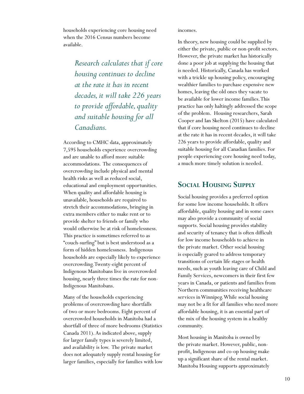<span id="page-10-0"></span>households experiencing core housing need when the 2016 Census numbers become available.

> *Research calculates that if core housing continues to decline at the rate it has in recent decades, it will take 226 years to provide affordable, quality and suitable housing for all Canadians.*

According to CMHC data, approximately 7,595 households experience overcrowding and are unable to afford more suitable accommodations. The consequences of overcrowding include physical and mental health risks as well as reduced social, educational and employment opportunities. When quality and affordable housing is unavailable, households are required to stretch their accommodations, bringing in extra members either to make rent or to provide shelter to friends or family who would otherwise be at risk of homelessness. This practice is sometimes referred to as "couch-surfing" but is best understood as a form of hidden homelessness. Indigenous households are especially likely to experience overcrowding. Twenty-eight percent of Indigenous Manitobans live in overcrowded housing, nearly three times the rate for non-Indigenous Manitobans.

Many of the households experiencing problems of overcrowding have shortfalls of two or more bedrooms. Eight percent of overcrowded households in Manitoba had a shortfall of three of more bedrooms (Statistics Canada 2011). As indicated above, supply for larger family types is severely limited, and availability is low. The private market does not adequately supply rental housing for larger families, especially for families with low incomes.

In theory, new housing could be supplied by either the private, public or non-profit sectors. However, the private market has historically done a poor job at supplying the housing that is needed. Historically, Canada has worked with a trickle up housing policy, encouraging wealthier families to purchase expensive new homes, leaving the old ones they vacate to be available for lower income families. This practice has only haltingly addressed the scope of the problem. Housing researchers, Sarah Cooper and Ian Skelton (2015) have calculated that if core housing need continues to decline at the rate it has in recent decades, it will take 226 years to provide affordable, quality and suitable housing for all Canadian families. For people experiencing core housing need today, a much more timely solution is needed.

#### **Social Housing Supply**

Social housing provides a preferred option for some low income households. It offers affordable, quality housing and in some cases may also provide a community of social supports. Social housing provides stability and security of tenancy that is often difficult for low income households to achieve in the private market. Other social housing is especially geared to address temporary transitions of certain life stages or health needs, such as youth leaving care of Child and Family Services, newcomers in their first few years in Canada, or patients and families from Northern communities receiving healthcare services in Winnipeg. While social housing may not be a fit for all families who need more affordable housing, it is an essential part of the mix of the housing system in a healthy community.

Most housing in Manitoba is owned by the private market. However, public, nonprofit, Indigenous and co-op housing make up a significant share of the rental market. Manitoba Housing supports approximately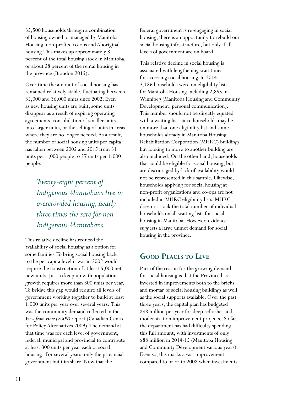<span id="page-11-0"></span>35,500 households through a combination of housing owned or managed by Manitoba Housing, non-profits, co-ops and Aboriginal housing. This makes up approximately 8 percent of the total housing stock in Manitoba, or about 28 percent of the rental housing in the province (Brandon 2015).

Over time the amount of social housing has remained relatively stable, fluctuating between 35,000 and 36,000 units since 2002. Even as new housing units are built, some units disappear as a result of expiring operating agreements, consolidation of smaller units into larger units, or the selling of units in areas where they are no longer needed. As a result, the number of social housing units per capita has fallen between 2002 and 2015 from 31 units per 1,000 people to 27 units per 1,000 people.

> *Twenty-eight percent of Indigenous Manitobans live in overcrowded housing, nearly three times the rate for non-Indigenous Manitobans.*

This relative decline has reduced the availability of social housing as a option for some families. To bring social housing back to the per capita level it was in 2002 would require the construction of at least 5,000 net new units. Just to keep up with population growth requires more than 300 units per year. To bridge this gap would require all levels of government working together to build at least 1,000 units per year over several years. This was the community demand reflected in the *View from Here (2009)* report (Canadian Centre for Policy Alternatives 2009). The demand at that time was for each level of government, federal, municipal and provincial to contribute at least 300 units per year each of social housing. For several years, only the provincial government built its share. Now that the

federal government is re-engaging in social housing, there is an opportunity to rebuild our social housing infrastructure, but only if all levels of government are on board.

This relative decline in social housing is associated with lengthening wait times for accessing social housing. In 2014, 3,186 households were on eligibility lists for Manitoba Housing including 2,855 in Winnipeg (Manitoba Housing and Community Development, personal communication). This number should not be directly equated with a waiting list, since households may be on more than one eligibility list and some households already in Manitoba Housing Rehabilitation Corporation (MHRC) buildings but looking to move to another building are also included. On the other hand, households that could be eligible for social housing, but are discouraged by lack of availability would not be represented in this sample. Likewise, households applying for social housing at non-profit organizations and co-ops are not included in MHRC eligibility lists. MHRC does not track the total number of individual households on all waiting lists for social housing in Manitoba. However, evidence suggests a large unmet demand for social housing in the province.

#### **Good Places to Live**

Part of the reason for the growing demand for social housing is that the Province has invested in improvements both to the bricks and mortar of social housing buildings as well as the social supports available. Over the past three years, the capital plan has budgeted \$98 million per year for deep refreshes and modernization improvement projects. So far, the department has had difficulty spending this full amount, with investments of only \$88 million in 2014-15 (Manitoba Housing and Community Development various years). Even so, this marks a vast improvement compared to prior to 2008 when investments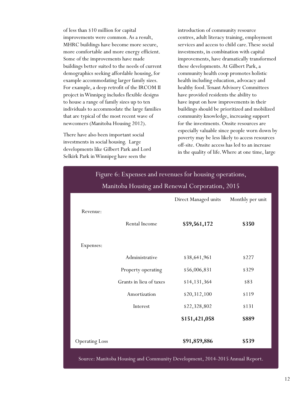of less than \$10 million for capital improvements were common. As a result, MHRC buildings have become more secure, more comfortable and more energy efficient. Some of the improvements have made buildings better suited to the needs of current demographics seeking affordable housing, for example accommodating larger family sizes. For example, a deep retrofit of the IRCOM II project in Winnipeg includes flexible designs to house a range of family sizes up to ten individuals to accommodate the large families that are typical of the most recent wave of newcomers (Manitoba Housing 2012).

There have also been important social investments in social housing. Large developments like Gilbert Park and Lord Selkirk Park in Winnipeg have seen the

introduction of community resource centres, adult literacy training, employment services and access to child care. These social investments, in combination with capital improvements, have dramatically transformed these developments. At Gilbert Park, a community health coop promotes holistic health including education, advocacy and healthy food. Tenant Advisory Committees have provided residents the ability to have input on how improvements in their buildings should be prioritized and mobilized community knowledge, increasing support for the investments. Onsite resources are especially valuable since people worn down by poverty may be less likely to access resources off-site. Onsite access has led to an increase in the quality of life. Where at one time, large

| Manitoba Housing and Renewal Corporation, 2015 |                         |                      |                  |
|------------------------------------------------|-------------------------|----------------------|------------------|
|                                                |                         | Direct Managed units | Monthly per unit |
| Revenue:                                       |                         |                      |                  |
|                                                | Rental Income           | \$59,561,172         | \$350            |
|                                                |                         |                      |                  |
| Expenses:                                      |                         |                      |                  |
|                                                | Administrative          | \$38,641,961         | \$227            |
|                                                | Property operating      | \$56,006,831         | \$329            |
|                                                | Grants in lieu of taxes | \$14,131,364         | \$83             |
|                                                | Amortization            | \$20,312,100         | \$119            |
|                                                | Interest                | \$22,328,802         | \$131            |
|                                                |                         | \$151,421,058        | \$889            |
|                                                |                         |                      |                  |
| <b>Operating Loss</b>                          |                         | \$91,859,886         | \$539            |

## Figure 6: Expenses and revenues for housing operations,

Source: Manitoba Housing and Community Development, 2014-2015 Annual Report.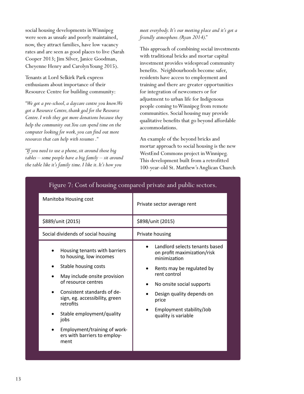social housing developments in Winnipeg were seen as unsafe and poorly maintained, now, they attract families, have low vacancy rates and are seen as good places to live (Sarah Cooper 2013; Jim Silver, Janice Goodman, Cheyenne Henry and Carolyn Young 2015).

Tenants at Lord Selkirk Park express enthusiasm about importance of their Resource Centre for building community:

*"We got a pre-school, a daycare centre you know. We got a Resource Centre, thank god for the Resource Centre. I wish they got more donations because they help the community out. You can spend time on the computer looking for work, you can find out more resources that can help with resumes ."*

*"If you need to use a phone, sit around those big tables – some people have a big family – sit around the table like it's family time. I like it. It's how you* 

*meet everybody. It's our meeting place and it's got a friendly atmosphere. (Ryan 2014)."*

This approach of combining social investments with traditional bricks and mortar capital investment provides widespread community benefits. Neighbourhoods become safer, residents have access to employment and training and there are greater opportunities for integration of newcomers or for adjustment to urban life for Indigenous people coming to Winnipeg from remote communities. Social housing may provide qualitative benefits that go beyond affordable accommodations.

An example of the beyond bricks and mortar approach to social housing is the new WestEnd Commons project in Winnipeg. This development built from a retrofitted 100-year-old St. Matthew's Anglican Church

| Manitoba Housing cost                                                                                                                                                                                                                                                                                                              | Private sector average rent                                                                                                                                                                                                                      |
|------------------------------------------------------------------------------------------------------------------------------------------------------------------------------------------------------------------------------------------------------------------------------------------------------------------------------------|--------------------------------------------------------------------------------------------------------------------------------------------------------------------------------------------------------------------------------------------------|
| \$889/unit (2015)                                                                                                                                                                                                                                                                                                                  | \$898/unit (2015)                                                                                                                                                                                                                                |
| Social dividends of social housing                                                                                                                                                                                                                                                                                                 | Private housing                                                                                                                                                                                                                                  |
| Housing tenants with barriers<br>to housing, low incomes<br>Stable housing costs<br>May include onsite provision<br>of resource centres<br>Consistent standards of de-<br>sign, eg. accessibility, green<br>retrofits<br>Stable employment/quality<br>jobs<br>Employment/training of work-<br>ers with barriers to employ-<br>ment | Landlord selects tenants based<br>on profit maximization/risk<br>minimization<br>Rents may be regulated by<br>rent control<br>No onsite social supports<br>Design quality depends on<br>price<br>Employment stability/Job<br>quality is variable |

#### Figure 7: Cost of housing compared private and public sectors.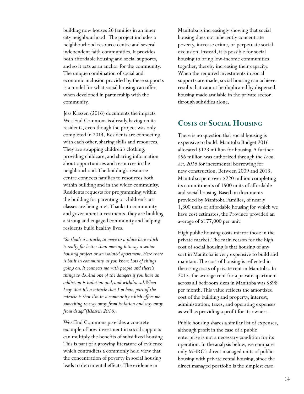<span id="page-14-0"></span>building now houses 26 families in an inner city neighbourhood. The project includes a neighbourhood resource centre and several independent faith communities. It provides both affordable housing and social supports, and so it acts as an anchor for the community. The unique combination of social and economic inclusion provided by these supports is a model for what social housing can offer, when developed in partnership with the community.

Jess Klassen (2016) documents the impacts WestEnd Commons is already having on its residents, even though the project was only completed in 2014. Residents are connecting with each other, sharing skills and resources. They are swapping children's clothing, providing childcare, and sharing information about opportunities and resources in the neighbourhood. The building's resource centre connects families to resources both within building and in the wider community. Residents requests for programming within the building for parenting or children's art classes are being met. Thanks to community and government investments, they are building a strong and engaged community and helping residents build healthy lives.

*"So that's a miracle, to move to a place here which is really far better than moving into say a senior housing project or an isolated apartment. Here there is built in community as you know. Lots of things going on. It connects me with people and there's things to do. And one of the dangers if you have an addiction is isolation and, and withdrawal. When I say that it's a miracle that I'm here, part of the miracle is that I'm in a community which offers me something to stay away from isolation and stay away from drugs" (Klassen 2016).*

WestEnd Commons provides a concrete example of how investment in social supports can multiply the benefits of subsidized housing. This is part of a growing literature of evidence which contradicts a commonly held view that the concentration of poverty in social housing leads to detrimental effects. The evidence in

Manitoba is increasingly showing that social housing does not inherently concentrate poverty, increase crime, or perpetuate social exclusion. Instead, it is possible for social housing to bring low-income communities together, thereby increasing their capacity. When the required investments in social supports are made, social housing can achieve results that cannot be duplicated by dispersed housing made available in the private sector through subsidies alone.

#### **Costs of Social Housing**

There is no question that social housing is expensive to build. Manitoba Budget 2016 allocated \$123 million for housing. A further \$56 million was authorized through the *Loan Act, 2016* for incremental borrowing for new construction. Between 2009 and 2013, Manitoba spent over \$220 million completing its commitments of 1500 units of affordable and social housing. Based on documents provided by Manitoba Families, of nearly 1,300 units of affordable housing for which we have cost estimates, the Province provided an average of \$177,000 per unit.

High public housing costs mirror those in the private market. The main reason for the high cost of social housing is that housing of any sort in Manitoba is very expensive to build and maintain. The cost of housing is reflected in the rising costs of private rent in Manitoba. In 2015, the average rent for a private apartment across all bedroom sizes in Manitoba was \$898 per month. This value reflects the amortized cost of the building and property, interest, administration, taxes, and operating expenses as well as providing a profit for its owners.

Public housing shares a similar list of expenses, although profit in the case of a public enterprise is not a necessary condition for its operation. In the analysis below, we compare only MHRC's direct managed units of public housing with private rental housing, since the direct managed portfolio is the simplest case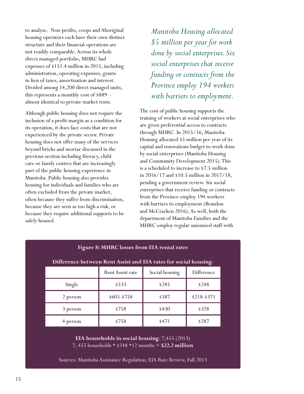to analyze. Non-profits, coops and Aboriginal housing operators each have their own distinct structure and their financial operations are not readily comparable. Across its whole direct managed portfolio, MHRC had expenses of \$151.4 million in 2015, including administration, operating expenses, grants in lieu of taxes, amortization and interest. Divided among 14,200 direct managed units, this represents a monthly cost of \$889 – almost identical to private market rents.

Although public housing does not require the inclusion of a profit margin as a condition for its operation, it does face costs that are not experienced by the private sector. Private housing does not offer many of the services beyond bricks and mortar discussed in the previous section including literacy, child care or family centres that are increasingly part of the public housing experience in Manitoba. Public housing also provides housing for individuals and families who are often excluded from the private market, often because they suffer from discrimination, because they are seen as too high a risk, or because they require additional supports to be safely housed.

*Manitoba Housing allocated \$5 million per year for work done by social enterprises. Six social enterprises that receive funding or contracts from the Province employ 194 workers with barriers to employment.*

The cost of public housing supports the training of workers at social enterprises who are given preferential access to contracts through MHRC. In 2015/16, Manitoba Housing allocated \$5 million per year of its capital and renovations budget to work done by social enterprises (Manitoba Housing and Community Development 2015). This is a scheduled to increase to \$7.5 million in 2016/17 and \$10.5 million in 2017/18, pending a government review. Six social enterprises that receive funding or contracts from the Province employ 194 workers with barriers to employment (Brandon and McCracken 2016). As well, both the department of Manitoba Families and the MHRC employ regular unionized staff with

| Tigure 0. millive 1055cs from Elly Fental Fates                  |                         |                |               |  |
|------------------------------------------------------------------|-------------------------|----------------|---------------|--|
| Difference between Rent Assist and EIA rates for social housing: |                         |                |               |  |
|                                                                  | <b>Rent Assist rate</b> | Social housing | Difference    |  |
| Single                                                           | \$533                   | \$285          | \$248         |  |
| 2 person                                                         | \$605-\$758             | \$387          | $$218 - $371$ |  |
| 3 person                                                         | \$758                   | \$430          | \$328         |  |
| 4 person                                                         | \$758                   | \$471          | \$287         |  |

 $\Omega$ : MHRC loss

**EIA households in social housing**: 7,455 (2013) 7, 455 households \* \$248 \*12 months = **\$22.2 million**

Sources: Manitoba Assistance Regulation; EIA Rate Review, Fall 2013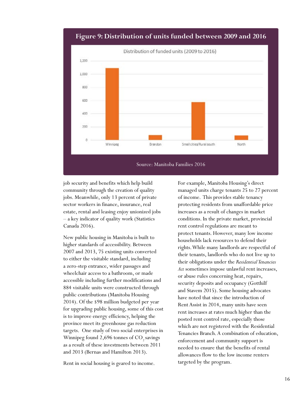

#### **Figure 9: Distribution of units funded between 2009 and 2016**

job security and benefits which help build community through the creation of quality jobs. Meanwhile, only 13 percent of private sector workers in finance, insurance, real estate, rental and leasing enjoy unionized jobs – a key indicator of quality work (Statistics Canada 2016).

New public housing in Manitoba is built to higher standards of accessibility. Between 2007 and 2013, 75 existing units converted to either the visitable standard, including a zero-step entrance, wider passages and wheelchair access to a bathroom, or made accessible including further modifications and 884 visitable units were constructed through public contributions (Manitoba Housing 2014). Of the \$98 million budgeted per year for upgrading public housing, some of this cost is to improve energy efficiency, helping the province meet its greenhouse gas reduction targets. One study of two social enterprises in Winnipeg found  $2,696$  tonnes of  $CO$ <sub>2</sub> savings as a result of these investments between 2011 and 2013 (Bernas and Hamilton 2013).

Rent in social housing is geared to income.

For example, Manitoba Housing's direct managed units charge tenants 25 to 27 percent of income. This provides stable tenancy protecting residents from unaffordable price increases as a result of changes in market conditions. In the private market, provincial rent control regulations are meant to protect tenants. However, many low income households lack resources to defend their rights. While many landlords are respectful of their tenants, landlords who do not live up to their obligations under the *Residential Tenancies Act* sometimes impose unlawful rent increases, or abuse rules concerning heat, repairs, security deposits and occupancy (Gotthilf and Stavem 2015). Some housing advocates have noted that since the introduction of Rent Assist in 2014, many units have seen rent increases at rates much higher than the posted rent control rate, especially those which are not registered with the Residential Tenancies Branch. A combination of education, enforcement and community support is needed to ensure that the benefits of rental allowances flow to the low income renters targeted by the program.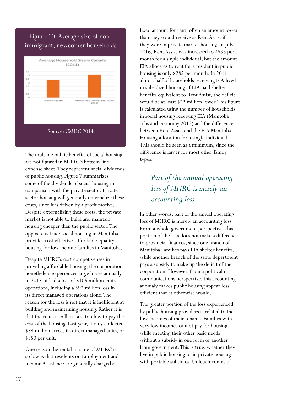#### Figure 10: Average size of nonimmigrant, newcomer households



The multiple public benefits of social housing are not figured in MHRC's bottom line expense sheet. They represent social dividends of public housing. Figure 7 summarizes some of the dividends of social housing in comparison with the private sector. Private sector housing will generally externalize these costs, since it is driven by a profit motive. Despite externalizing these costs, the private market is not able to build and maintain housing cheaper than the public sector. The opposite is true: social housing in Manitoba provides cost effective, affordable, quality housing for low income families in Manitoba.

Despite MHRC's cost competiveness in providing affordable housing, the corporation nonetheless experiences large losses annually. In 2015, it had a loss of \$106 million in its operations, including a \$92 million loss in its direct managed operations alone. The reason for the loss is not that it is inefficient at building and maintaining housing. Rather it is that the rents it collects are too low to pay the cost of the housing. Last year, it only collected \$59 million across its direct managed units, or \$350 per unit.

One reason the rental income of MHRC is so low is that residents on Employment and Income Assistance are generally charged a

fixed amount for rent, often an amount lower than they would receive as Rent Assist if they were in private market housing. In July 2016, Rent Assist was increased to \$533 per month for a single individual, but the amount EIA allocates to rent for a resident in public housing is only \$285 per month. In 2011, almost half of households receiving EIA lived in subsidized housing. If EIA paid shelter benefits equivalent to Rent Assist, the deficit would be at least \$22 million lower. This figure is calculated using the number of households in social housing receiving EIA (Manitoba Jobs and Economy 2013) and the difference between Rent Assist and the EIA Manitoba Housing allocation for a single individual. This should be seen as a minimum, since the difference is larger for most other family types.

#### *Part of the annual operating loss of MHRC is merely an accounting loss.*

In other words, part of the annual operating loss of MHRC is merely an accounting loss. From a whole government perspective, this portion of the loss does not make a difference to provincial finances, since one branch of Manitoba Families pays EIA shelter benefits, while another branch of the same department pays a subsidy to make up the deficit of the corporation. However, from a political or communications perspective, this accounting anomaly makes public housing appear less efficient than it otherwise would.

The greater portion of the loss experienced by public housing providers is related to the low incomes of their tenants. Families with very low incomes cannot pay for housing while meeting their other basic needs without a subsidy in one form or another from government. This is true, whether they live in public housing or in private housing with portable subsidies. Unless incomes of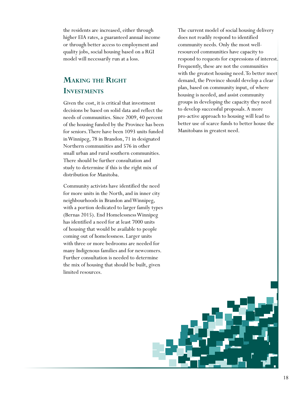<span id="page-18-0"></span>the residents are increased, either through higher EIA rates, a guaranteed annual income or through better access to employment and quality jobs, social housing based on a RGI model will necessarily run at a loss.

#### **Making the Right Investments**

Given the cost, it is critical that investment decisions be based on solid data and reflect the needs of communities. Since 2009, 40 percent of the housing funded by the Province has been for seniors. There have been 1093 units funded in Winnipeg, 78 in Brandon, 71 in designated Northern communities and 576 in other small urban and rural southern communities. There should be further consultation and study to determine if this is the right mix of distribution for Manitoba.

Community activists have identified the need for more units in the North, and in inner city neighbourhoods in Brandon and Winnipeg, with a portion dedicated to larger family types (Bernas 2015). End Homelessness Winnipeg has identified a need for at least 7000 units of housing that would be available to people coming out of homelessness. Larger units with three or more bedrooms are needed for many Indigenous families and for newcomers. Further consultation is needed to determine the mix of housing that should be built, given limited resources.

The current model of social housing delivery does not readily respond to identified community needs. Only the most wellresourced communities have capacity to respond to requests for expressions of interest. Frequently, these are not the communities with the greatest housing need. To better meet demand, the Province should develop a clear plan, based on community input, of where housing is needed, and assist community groups in developing the capacity they need to develop successful proposals. A more pro-active approach to housing will lead to better use of scarce funds to better house the Manitobans in greatest need.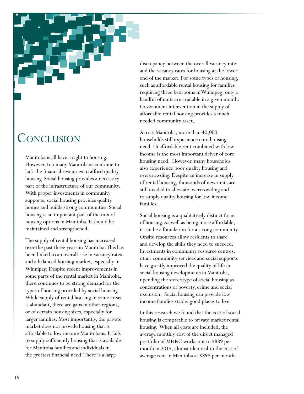### <span id="page-19-0"></span>**CONCLUSION**

Manitobans all have a right to housing. However, too many Manitobans continue to lack the financial resources to afford quality housing. Social housing provides a necessary part of the infrastructure of our community. With proper investments in community supports, social housing provides quality homes and builds strong communities. Social housing is an important part of the mix of housing options in Manitoba. It should be maintained and strengthened.

The supply of rental housing has increased over the past three years in Manitoba. This has been linked to an overall rise in vacancy rates and a balanced housing market, especially in Winnipeg. Despite recent improvements in some parts of the rental market in Manitoba, there continues to be strong demand for the types of housing provided by social housing. While supply of rental housing in some areas is abundant, there are gaps in other regions, or of certain housing sizes, especially for larger families. Most importantly, the private market does not provide housing that is affordable to low income Manitobans. It fails to supply sufficiently housing that is available for Manitoba families and individuals in the greatest financial need. There is a large

discrepancy between the overall vacancy rate and the vacancy rates for housing at the lower end of the market. For some types of housing, such as affordable rental housing for families requiring three bedrooms in Winnipeg, only a handful of units are available in a given month. Government intervention in the supply of affordable rental housing provides a much needed community asset.

Across Manitoba, more than 40,000 households still experience core housing need. Unaffordable rent combined with low income is the most important driver of core housing need. However, many households also experience poor quality housing and overcrowding. Despite an increase in supply of rental housing, thousands of new units are still needed to alleviate overcrowding and to supply quality housing for low income families.

Social housing is a qualitatively distinct form of housing. As well as being more affordable, it can be a foundation for a strong community. Onsite resources allow residents to share and develop the skills they need to succeed. Investments in community resource centres, other community services and social supports have greatly improved the quality of life in social housing developments in Manitoba, upending the stereotype of social housing as concentrations of poverty, crime and social exclusion. Social housing can provide low income families stable, good places to live.

In this research we found that the cost of social housing is comparable to private market rental housing. When all costs are included, the average monthly cost of the direct managed portfolio of MHRC works out to \$889 per month in 2015, almost identical to the cost of average rent in Manitoba at \$898 per month.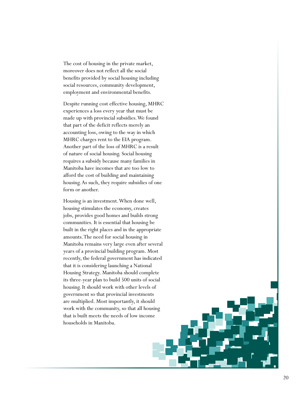The cost of housing in the private market, moreover does not reflect all the social benefits provided by social housing including social resources, community development, employment and environmental benefits.

Despite running cost effective housing, MHRC experiences a loss every year that must be made up with provincial subsidies. We found that part of the deficit reflects merely an accounting loss, owing to the way in which MHRC charges rent to the EIA program. Another part of the loss of MHRC is a result of nature of social housing. Social housing requires a subsidy because many families in Manitoba have incomes that are too low to afford the cost of building and maintaining housing. As such, they require subsidies of one form or another.

Housing is an investment. When done well, housing stimulates the economy, creates jobs, provides good homes and builds strong communities. It is essential that housing be built in the right places and in the appropriate amounts. The need for social housing in Manitoba remains very large even after several years of a provincial building program. Most recently, the federal government has indicated that it is considering launching a National Housing Strategy. Manitoba should complete its three-year plan to build 500 units of social housing. It should work with other levels of government so that provincial investments are multiplied. Most importantly, it should work with the community, so that all housing that is built meets the needs of low income households in Manitoba.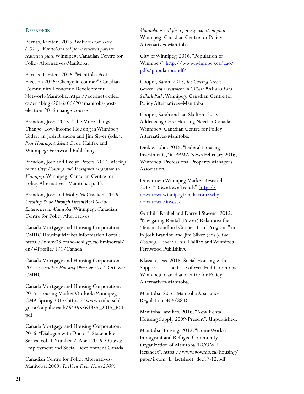#### <span id="page-21-0"></span>**References**

Bernas, Kirsten. 2015*. The View From Here (2015): Manitobans call for a renewed poverty reduction plan*. Winnipeg: Canadian Centre for Policy Alternatives-Manitoba.

Bernas, Kirsten. 2016. "Manitoba Post Election 2016: Change in course?" Canadian Community Economic Development Network-Manitoba. https://ccednet-rcdec. ca/en/blog/2016/06/20/manitoba-postelection-2016-change-course

Brandon, Josh. 2015. "The More Things Change: Low-Income Housing in Winnipeg Today," in Josh Brandon and Jim Silver (eds.). *Poor Housing: A Silent Crisis*. Halifax and Winnipeg: Fernwood Publishing.

Brandon, Josh and Evelyn Peters. 2014. M*oving to the City: Housing and Aboriginal Migration to Winnipeg*. Winnipeg: Canadian Centre for Policy Alternatives–Manitoba. p. 33.

Brandon, Josh and Molly McCracken. 2016. *Creating Pride Through Decent Work Social Enterprises in Manitoba*. Winnipeg: Canadian Centre for Policy Alternatives.

Canada Mortgage and Housing Corporation. CMHC Housing Market Information Portal: https://www03.cmhc-schl.gc.ca/hmiportal/ en/#Profile/1/1/Canada

Canada Mortgage and Housing Corporation. 2014. *Canadian Housing Observer 2014*. Ottawa: CMHC.

Canada Mortgage and Housing Corporation. 2015. Housing Market Outlook: Winnipeg CMA Spring 2015: https://www.cmhc-schl. gc.ca/odpub/esub/64355/64355\_2015\_B01. pdf

Canada Mortgage and Housing Corporation. 2016. "Dialogue with Duclos". Stakeholders Series, Vol. 1 Number 2. April 2016. Ottawa: Employment and Social Development Canada.

Canadian Centre for Policy Alternatives-Manitoba. 2009. *The View From Here (2009):*  *Manitobans call for a poverty reduction plan*. Winnipeg: Canadian Centre for Policy Alternatives-Manitoba.

City of Winnipeg. 2016. "Population of Winnipeg". [http://www.winnipeg.ca/cao/](http://www.winnipeg.ca/cao/pdfs/population.pdf/) [pdfs/population.pdf/](http://www.winnipeg.ca/cao/pdfs/population.pdf/)

Cooper, Sarah. 2013. *It's Getting Great: Government investment in Gilbert Park and Lord Selkirk Park*. Winnipeg: Canadian Centre for Policy Alternatives–Manitoba

Cooper, Sarah and Ian Skelton. 2015. Addressing Core Housing Need in Canada. Winnipeg: Canadian Centre for Policy Alternatives-Manitoba.

Dickie, John. 2016. "Federal Housing Investments," in PPMA News February 2016. Winnipeg: Professional Property Managers Association.

Downtown Winnipeg Market Research. 2015. "Downtown Trends". [http://](http://downtownwinnipegtrends.com/why-downtown/invest/) [downtownwinnipegtrends.com/why](http://downtownwinnipegtrends.com/why-downtown/invest/)[downtown/invest/](http://downtownwinnipegtrends.com/why-downtown/invest/)

Gotthilf, Rachel and Darrell Stavem. 2015. "Navigating Rental (Power) Relations: the 'Tenant Landlord Cooperation' Program," in in Josh Brandon and Jim Silver (eds.). *Poor Housing: A Silent Crisis*. Halifax and Winnipeg: Fernwood Publishing.

Klassen, Jess. 2016. Social Housing with Supports — The Case of WestEnd Commons. Winnipeg: Canadian Centre for Policy Alternatives-Manitoba.

Manitoba. 2016. Manitoba Assistance Regulation. 404/88 R.

Manitoba Families. 2016. "New Rental Housing Supply 2009-Present". Unpublished.

Manitoba Housing. 2012. "HomeWorks: Immigrant and Refugee Community Organization of Manitoba IRCOM II factsheet". https://www.gov.mb.ca/housing/ pubs/ircom\_II\_factsheet\_dec17-12.pdf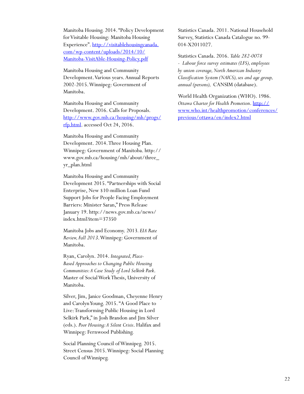Manitoba Housing. 2014. "Policy Development for Visitable Housing: Manitoba Housing Experience". [http://visitablehousingcanada.](http://visitablehousingcanada.com/wp-content/uploads/2014/10/Manitoba-VisitAble-Housing-Policy.pdf) [com/wp-content/uploads/2014/10/](http://visitablehousingcanada.com/wp-content/uploads/2014/10/Manitoba-VisitAble-Housing-Policy.pdf) [Manitoba-VisitAble-Housing-Policy.pdf](http://visitablehousingcanada.com/wp-content/uploads/2014/10/Manitoba-VisitAble-Housing-Policy.pdf)

Manitoba Housing and Community Development. Various years. Annual Reports 2002-2015. Winnipeg: Government of Manitoba.

Manitoba Housing and Community Development. 2016. Calls for Proposals. [http://www.gov.mb.ca/housing/mh/progs/](http://www.gov.mb.ca/housing/mh/progs/rfp.html) [rfp.html](http://www.gov.mb.ca/housing/mh/progs/rfp.html). accessed Oct 24, 2016.

Manitoba Housing and Community Development. 2014. Three Housing Plan. Winnipeg: Government of Manitoba. http:// www.gov.mb.ca/housing/mh/about/three\_ yr\_plan.html

Manitoba Housing and Community Development 2015. "Partnerships with Social Enterprise, New \$10-million Loan Fund Support Jobs for People Facing Employment Barriers: Minister Saran," Press Release January 19. http://news.gov.mb.ca/news/ index.html?item=37350

Manitoba Jobs and Economy. 2013*. EIA Rate Review, Fall 2013*. Winnipeg: Government of Manitoba.

Ryan, Carolyn. 2014. *Integrated, Place-Based Approaches to Changing Public Housing Communities: A Case Study of Lord Selkirk Park*. Master of Social Work Thesis, University of Manitoba.

Silver, Jim, Janice Goodman, Cheyenne Henry and Carolyn Young. 2015. "A Good Place to Live: Transforming Public Housing in Lord Selkirk Park," in Josh Brandon and Jim Silver (eds.). *Poor Housing: A Silent Crisis*. Halifax and Winnipeg: Fernwood Publishing.

Social Planning Council of Winnipeg. 2015. Street Census 2015. Winnipeg: Social Planning Council of Winnipeg.

Statistics Canada. 2011. National Household Survey, Statistics Canada Catalogue no. 99- 014-X2011027.

Statistics Canada. 2016. *Table 282-0078 - Labour force survey estimates (LFS), employees by union coverage, North American Industry Classification System (NAICS), sex and age group, annual (persons),* CANSIM (database).

World Health Organization (WHO). 1986. *Ottawa Charter for Health Promotion*. [http://](http://www.who.int/healthpromotion/conferences/previous/ottawa/en/index2.html) [www.who.int/healthpromotion/conferences/](http://www.who.int/healthpromotion/conferences/previous/ottawa/en/index2.html) [previous/ottawa/en/index2.html](http://www.who.int/healthpromotion/conferences/previous/ottawa/en/index2.html)